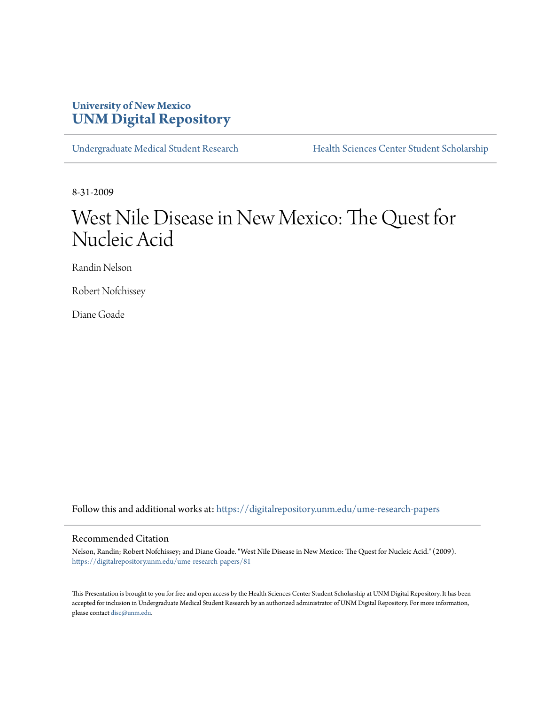# **University of New Mexico [UNM Digital Repository](https://digitalrepository.unm.edu?utm_source=digitalrepository.unm.edu%2Fume-research-papers%2F81&utm_medium=PDF&utm_campaign=PDFCoverPages)**

[Undergraduate Medical Student Research](https://digitalrepository.unm.edu/ume-research-papers?utm_source=digitalrepository.unm.edu%2Fume-research-papers%2F81&utm_medium=PDF&utm_campaign=PDFCoverPages) [Health Sciences Center Student Scholarship](https://digitalrepository.unm.edu/hsc-students?utm_source=digitalrepository.unm.edu%2Fume-research-papers%2F81&utm_medium=PDF&utm_campaign=PDFCoverPages)

8-31-2009

# West Nile Disease in New Mexico: The Quest for Nucleic Acid

Randin Nelson

Robert Nofchissey

Diane Goade

Follow this and additional works at: [https://digitalrepository.unm.edu/ume-research-papers](https://digitalrepository.unm.edu/ume-research-papers?utm_source=digitalrepository.unm.edu%2Fume-research-papers%2F81&utm_medium=PDF&utm_campaign=PDFCoverPages)

#### Recommended Citation

Nelson, Randin; Robert Nofchissey; and Diane Goade. "West Nile Disease in New Mexico: The Quest for Nucleic Acid." (2009). [https://digitalrepository.unm.edu/ume-research-papers/81](https://digitalrepository.unm.edu/ume-research-papers/81?utm_source=digitalrepository.unm.edu%2Fume-research-papers%2F81&utm_medium=PDF&utm_campaign=PDFCoverPages)

This Presentation is brought to you for free and open access by the Health Sciences Center Student Scholarship at UNM Digital Repository. It has been accepted for inclusion in Undergraduate Medical Student Research by an authorized administrator of UNM Digital Repository. For more information, please contact [disc@unm.edu.](mailto:disc@unm.edu)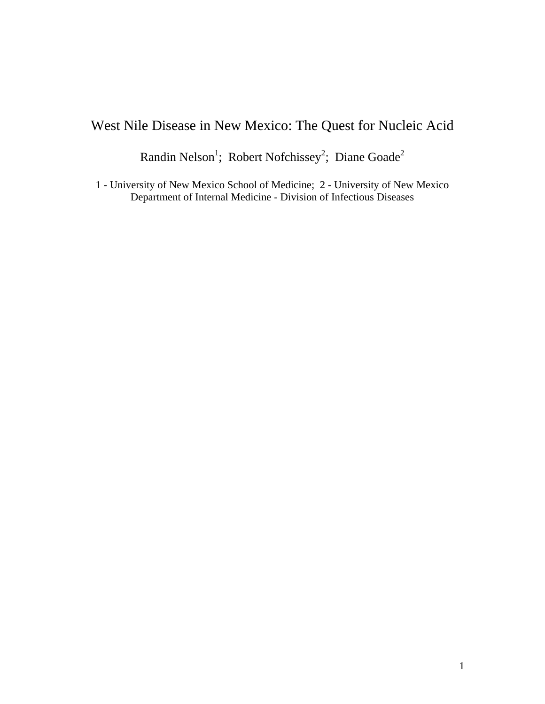# West Nile Disease in New Mexico: The Quest for Nucleic Acid

Randin Nelson<sup>1</sup>; Robert Nofchissey<sup>2</sup>; Diane Goade<sup>2</sup>

1 - University of New Mexico School of Medicine; 2 - University of New Mexico Department of Internal Medicine - Division of Infectious Diseases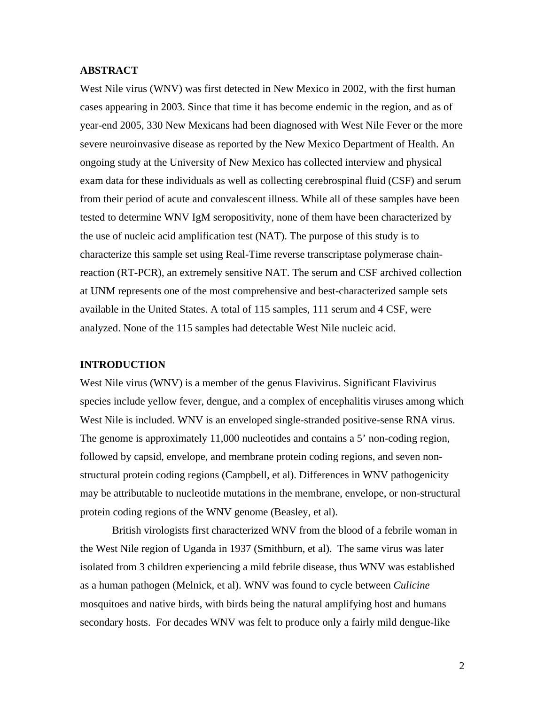#### **ABSTRACT**

West Nile virus (WNV) was first detected in New Mexico in 2002, with the first human cases appearing in 2003. Since that time it has become endemic in the region, and as of year-end 2005, 330 New Mexicans had been diagnosed with West Nile Fever or the more severe neuroinvasive disease as reported by the New Mexico Department of Health. An ongoing study at the University of New Mexico has collected interview and physical exam data for these individuals as well as collecting cerebrospinal fluid (CSF) and serum from their period of acute and convalescent illness. While all of these samples have been tested to determine WNV IgM seropositivity, none of them have been characterized by the use of nucleic acid amplification test (NAT). The purpose of this study is to characterize this sample set using Real-Time reverse transcriptase polymerase chainreaction (RT-PCR), an extremely sensitive NAT. The serum and CSF archived collection at UNM represents one of the most comprehensive and best-characterized sample sets available in the United States. A total of 115 samples, 111 serum and 4 CSF, were analyzed. None of the 115 samples had detectable West Nile nucleic acid.

#### **INTRODUCTION**

West Nile virus (WNV) is a member of the genus Flavivirus. Significant Flavivirus species include yellow fever, dengue, and a complex of encephalitis viruses among which West Nile is included. WNV is an enveloped single-stranded positive-sense RNA virus. The genome is approximately 11,000 nucleotides and contains a 5' non-coding region, followed by capsid, envelope, and membrane protein coding regions, and seven nonstructural protein coding regions (Campbell, et al). Differences in WNV pathogenicity may be attributable to nucleotide mutations in the membrane, envelope, or non-structural protein coding regions of the WNV genome (Beasley, et al).

British virologists first characterized WNV from the blood of a febrile woman in the West Nile region of Uganda in 1937 (Smithburn, et al). The same virus was later isolated from 3 children experiencing a mild febrile disease, thus WNV was established as a human pathogen (Melnick, et al). WNV was found to cycle between *Culicine* mosquitoes and native birds, with birds being the natural amplifying host and humans secondary hosts. For decades WNV was felt to produce only a fairly mild dengue-like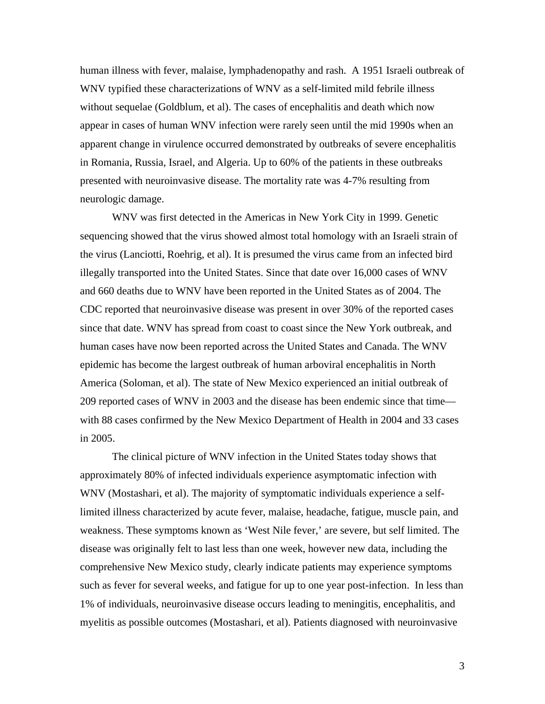human illness with fever, malaise, lymphadenopathy and rash. A 1951 Israeli outbreak of WNV typified these characterizations of WNV as a self-limited mild febrile illness without sequelae (Goldblum, et al). The cases of encephalitis and death which now appear in cases of human WNV infection were rarely seen until the mid 1990s when an apparent change in virulence occurred demonstrated by outbreaks of severe encephalitis in Romania, Russia, Israel, and Algeria. Up to 60% of the patients in these outbreaks presented with neuroinvasive disease. The mortality rate was 4-7% resulting from neurologic damage.

WNV was first detected in the Americas in New York City in 1999. Genetic sequencing showed that the virus showed almost total homology with an Israeli strain of the virus (Lanciotti, Roehrig, et al). It is presumed the virus came from an infected bird illegally transported into the United States. Since that date over 16,000 cases of WNV and 660 deaths due to WNV have been reported in the United States as of 2004. The CDC reported that neuroinvasive disease was present in over 30% of the reported cases since that date. WNV has spread from coast to coast since the New York outbreak, and human cases have now been reported across the United States and Canada. The WNV epidemic has become the largest outbreak of human arboviral encephalitis in North America (Soloman, et al). The state of New Mexico experienced an initial outbreak of 209 reported cases of WNV in 2003 and the disease has been endemic since that time with 88 cases confirmed by the New Mexico Department of Health in 2004 and 33 cases in 2005.

The clinical picture of WNV infection in the United States today shows that approximately 80% of infected individuals experience asymptomatic infection with WNV (Mostashari, et al). The majority of symptomatic individuals experience a selflimited illness characterized by acute fever, malaise, headache, fatigue, muscle pain, and weakness. These symptoms known as 'West Nile fever,' are severe, but self limited. The disease was originally felt to last less than one week, however new data, including the comprehensive New Mexico study, clearly indicate patients may experience symptoms such as fever for several weeks, and fatigue for up to one year post-infection. In less than 1% of individuals, neuroinvasive disease occurs leading to meningitis, encephalitis, and myelitis as possible outcomes (Mostashari, et al). Patients diagnosed with neuroinvasive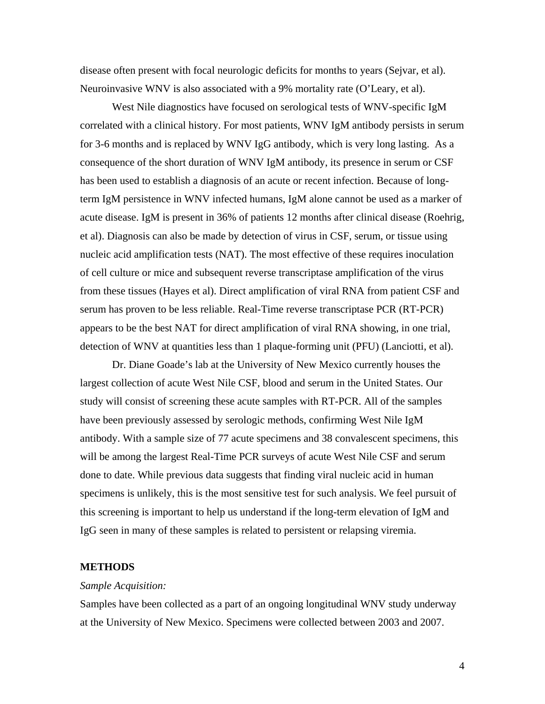disease often present with focal neurologic deficits for months to years (Sejvar, et al). Neuroinvasive WNV is also associated with a 9% mortality rate (O'Leary, et al).

West Nile diagnostics have focused on serological tests of WNV-specific IgM correlated with a clinical history. For most patients, WNV IgM antibody persists in serum for 3-6 months and is replaced by WNV IgG antibody, which is very long lasting. As a consequence of the short duration of WNV IgM antibody, its presence in serum or CSF has been used to establish a diagnosis of an acute or recent infection. Because of longterm IgM persistence in WNV infected humans, IgM alone cannot be used as a marker of acute disease. IgM is present in 36% of patients 12 months after clinical disease (Roehrig, et al). Diagnosis can also be made by detection of virus in CSF, serum, or tissue using nucleic acid amplification tests (NAT). The most effective of these requires inoculation of cell culture or mice and subsequent reverse transcriptase amplification of the virus from these tissues (Hayes et al). Direct amplification of viral RNA from patient CSF and serum has proven to be less reliable. Real-Time reverse transcriptase PCR (RT-PCR) appears to be the best NAT for direct amplification of viral RNA showing, in one trial, detection of WNV at quantities less than 1 plaque-forming unit (PFU) (Lanciotti, et al).

Dr. Diane Goade's lab at the University of New Mexico currently houses the largest collection of acute West Nile CSF, blood and serum in the United States. Our study will consist of screening these acute samples with RT-PCR. All of the samples have been previously assessed by serologic methods, confirming West Nile IgM antibody. With a sample size of 77 acute specimens and 38 convalescent specimens, this will be among the largest Real-Time PCR surveys of acute West Nile CSF and serum done to date. While previous data suggests that finding viral nucleic acid in human specimens is unlikely, this is the most sensitive test for such analysis. We feel pursuit of this screening is important to help us understand if the long-term elevation of IgM and IgG seen in many of these samples is related to persistent or relapsing viremia.

#### **METHODS**

#### *Sample Acquisition:*

Samples have been collected as a part of an ongoing longitudinal WNV study underway at the University of New Mexico. Specimens were collected between 2003 and 2007.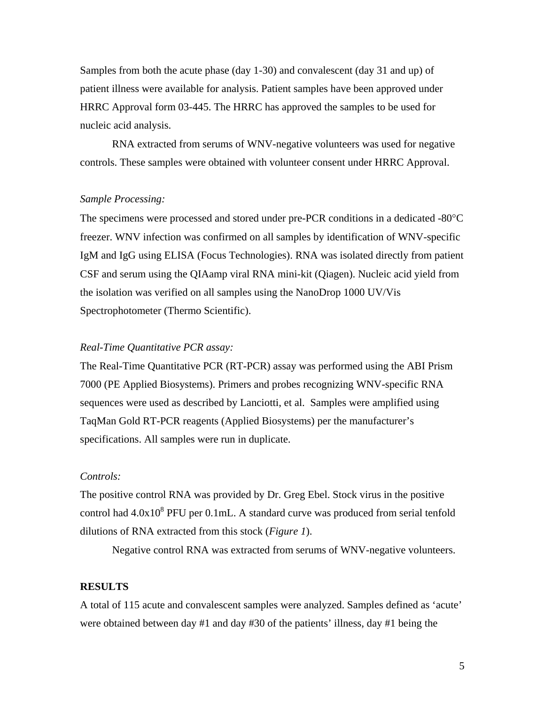Samples from both the acute phase (day 1-30) and convalescent (day 31 and up) of patient illness were available for analysis. Patient samples have been approved under HRRC Approval form 03-445. The HRRC has approved the samples to be used for nucleic acid analysis.

 RNA extracted from serums of WNV-negative volunteers was used for negative controls. These samples were obtained with volunteer consent under HRRC Approval.

#### *Sample Processing:*

The specimens were processed and stored under pre-PCR conditions in a dedicated -80°C freezer. WNV infection was confirmed on all samples by identification of WNV-specific IgM and IgG using ELISA (Focus Technologies). RNA was isolated directly from patient CSF and serum using the QIAamp viral RNA mini-kit (Qiagen). Nucleic acid yield from the isolation was verified on all samples using the NanoDrop 1000 UV/Vis Spectrophotometer (Thermo Scientific).

#### *Real-Time Quantitative PCR assay:*

The Real-Time Quantitative PCR (RT-PCR) assay was performed using the ABI Prism 7000 (PE Applied Biosystems). Primers and probes recognizing WNV-specific RNA sequences were used as described by Lanciotti, et al. Samples were amplified using TaqMan Gold RT-PCR reagents (Applied Biosystems) per the manufacturer's specifications. All samples were run in duplicate.

#### *Controls:*

The positive control RNA was provided by Dr. Greg Ebel. Stock virus in the positive control had  $4.0x10<sup>8</sup>$  PFU per 0.1mL. A standard curve was produced from serial tenfold dilutions of RNA extracted from this stock (*Figure 1*).

Negative control RNA was extracted from serums of WNV-negative volunteers.

#### **RESULTS**

A total of 115 acute and convalescent samples were analyzed. Samples defined as 'acute' were obtained between day #1 and day #30 of the patients' illness, day #1 being the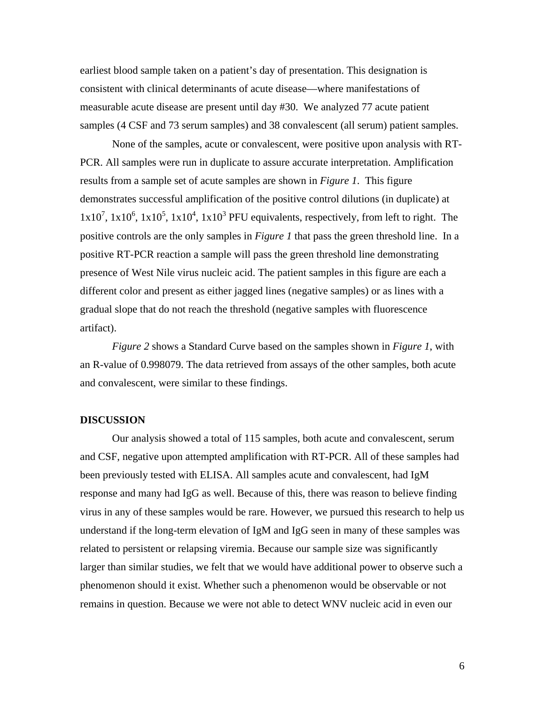earliest blood sample taken on a patient's day of presentation. This designation is consistent with clinical determinants of acute disease—where manifestations of measurable acute disease are present until day #30. We analyzed 77 acute patient samples (4 CSF and 73 serum samples) and 38 convalescent (all serum) patient samples.

 None of the samples, acute or convalescent, were positive upon analysis with RT-PCR. All samples were run in duplicate to assure accurate interpretation. Amplification results from a sample set of acute samples are shown in *Figure 1*. This figure demonstrates successful amplification of the positive control dilutions (in duplicate) at  $1x10^7$ ,  $1x10^6$ ,  $1x10^5$ ,  $1x10^4$ ,  $1x10^3$  PFU equivalents, respectively, from left to right. The positive controls are the only samples in *Figure 1* that pass the green threshold line. In a positive RT-PCR reaction a sample will pass the green threshold line demonstrating presence of West Nile virus nucleic acid. The patient samples in this figure are each a different color and present as either jagged lines (negative samples) or as lines with a gradual slope that do not reach the threshold (negative samples with fluorescence artifact).

*Figure 2* shows a Standard Curve based on the samples shown in *Figure 1*, with an R-value of 0.998079. The data retrieved from assays of the other samples, both acute and convalescent, were similar to these findings.

#### **DISCUSSION**

Our analysis showed a total of 115 samples, both acute and convalescent, serum and CSF, negative upon attempted amplification with RT-PCR. All of these samples had been previously tested with ELISA. All samples acute and convalescent, had IgM response and many had IgG as well. Because of this, there was reason to believe finding virus in any of these samples would be rare. However, we pursued this research to help us understand if the long-term elevation of IgM and IgG seen in many of these samples was related to persistent or relapsing viremia. Because our sample size was significantly larger than similar studies, we felt that we would have additional power to observe such a phenomenon should it exist. Whether such a phenomenon would be observable or not remains in question. Because we were not able to detect WNV nucleic acid in even our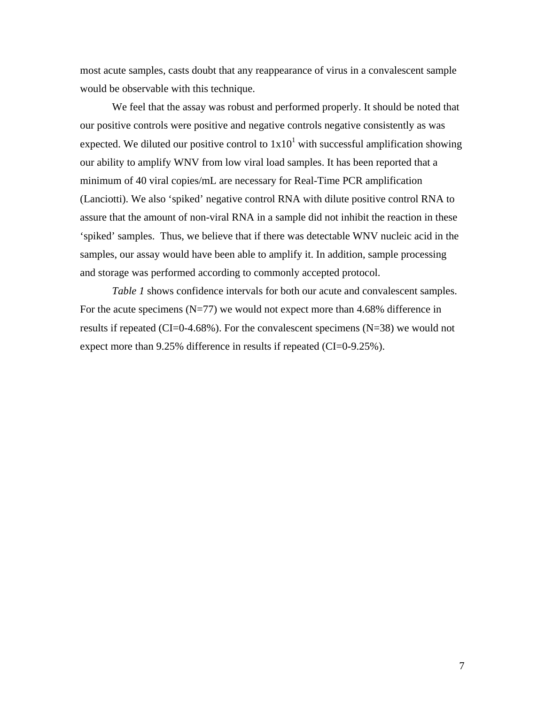most acute samples, casts doubt that any reappearance of virus in a convalescent sample would be observable with this technique.

We feel that the assay was robust and performed properly. It should be noted that our positive controls were positive and negative controls negative consistently as was expected. We diluted our positive control to  $1x10<sup>1</sup>$  with successful amplification showing our ability to amplify WNV from low viral load samples. It has been reported that a minimum of 40 viral copies/mL are necessary for Real-Time PCR amplification (Lanciotti). We also 'spiked' negative control RNA with dilute positive control RNA to assure that the amount of non-viral RNA in a sample did not inhibit the reaction in these 'spiked' samples. Thus, we believe that if there was detectable WNV nucleic acid in the samples, our assay would have been able to amplify it. In addition, sample processing and storage was performed according to commonly accepted protocol.

*Table 1* shows confidence intervals for both our acute and convalescent samples. For the acute specimens  $(N=77)$  we would not expect more than 4.68% difference in results if repeated (CI=0-4.68%). For the convalescent specimens ( $N=38$ ) we would not expect more than 9.25% difference in results if repeated (CI=0-9.25%).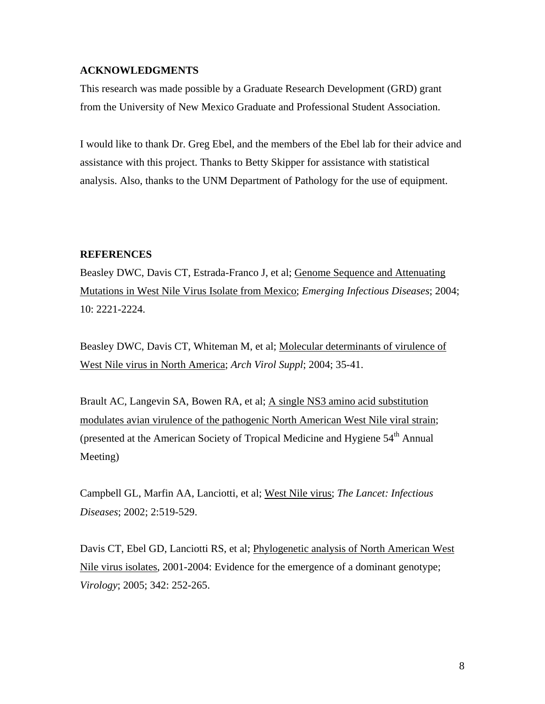#### **ACKNOWLEDGMENTS**

This research was made possible by a Graduate Research Development (GRD) grant from the University of New Mexico Graduate and Professional Student Association.

I would like to thank Dr. Greg Ebel, and the members of the Ebel lab for their advice and assistance with this project. Thanks to Betty Skipper for assistance with statistical analysis. Also, thanks to the UNM Department of Pathology for the use of equipment.

#### **REFERENCES**

Beasley DWC, Davis CT, Estrada-Franco J, et al; Genome Sequence and Attenuating Mutations in West Nile Virus Isolate from Mexico; *Emerging Infectious Diseases*; 2004; 10: 2221-2224.

Beasley DWC, Davis CT, Whiteman M, et al; Molecular determinants of virulence of West Nile virus in North America; *Arch Virol Suppl*; 2004; 35-41.

Brault AC, Langevin SA, Bowen RA, et al; A single NS3 amino acid substitution modulates avian virulence of the pathogenic North American West Nile viral strain; (presented at the American Society of Tropical Medicine and Hygiene  $54<sup>th</sup>$  Annual Meeting)

Campbell GL, Marfin AA, Lanciotti, et al; West Nile virus; *The Lancet: Infectious Diseases*; 2002; 2:519-529.

Davis CT, Ebel GD, Lanciotti RS, et al; Phylogenetic analysis of North American West Nile virus isolates, 2001-2004: Evidence for the emergence of a dominant genotype; *Virology*; 2005; 342: 252-265.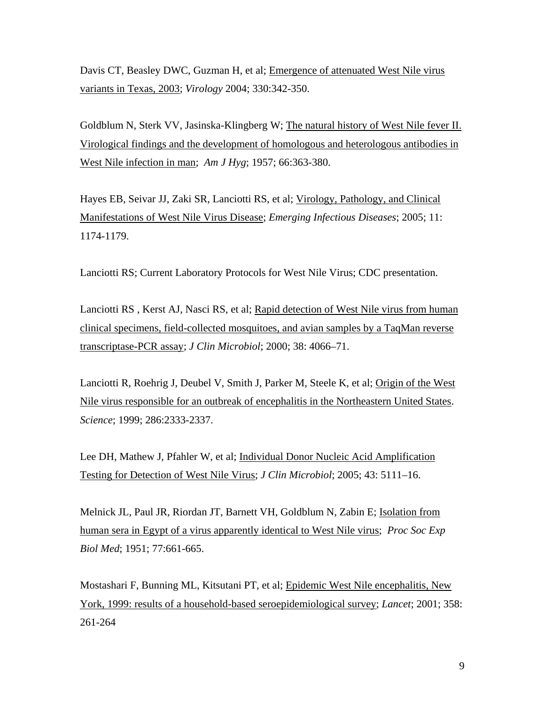Davis CT, Beasley DWC, Guzman H, et al; Emergence of attenuated West Nile virus variants in Texas, 2003; *Virology* 2004; 330:342-350.

Goldblum N, Sterk VV, Jasinska-Klingberg W; The natural history of West Nile fever II. Virological findings and the development of homologous and heterologous antibodies in West Nile infection in man; *Am J Hyg*; 1957; 66:363-380.

Hayes EB, Seivar JJ, Zaki SR, Lanciotti RS, et al; Virology, Pathology, and Clinical Manifestations of West Nile Virus Disease; *Emerging Infectious Diseases*; 2005; 11: 1174-1179.

Lanciotti RS; Current Laboratory Protocols for West Nile Virus; CDC presentation.

Lanciotti RS , Kerst AJ, Nasci RS, et al; Rapid detection of West Nile virus from human clinical specimens, field-collected mosquitoes, and avian samples by a TaqMan reverse transcriptase-PCR assay; *J Clin Microbiol*; 2000; 38: 4066–71.

Lanciotti R, Roehrig J, Deubel V, Smith J, Parker M, Steele K, et al; Origin of the West Nile virus responsible for an outbreak of encephalitis in the Northeastern United States. *Science*; 1999; 286:2333-2337.

Lee DH, Mathew J, Pfahler W, et al; Individual Donor Nucleic Acid Amplification Testing for Detection of West Nile Virus; *J Clin Microbiol*; 2005; 43: 5111–16.

Melnick JL, Paul JR, Riordan JT, Barnett VH, Goldblum N, Zabin E; Isolation from human sera in Egypt of a virus apparently identical to West Nile virus; *Proc Soc Exp Biol Med*; 1951; 77:661-665.

Mostashari F, Bunning ML, Kitsutani PT, et al; Epidemic West Nile encephalitis, New York, 1999: results of a household-based seroepidemiological survey; *Lancet*; 2001; 358: 261-264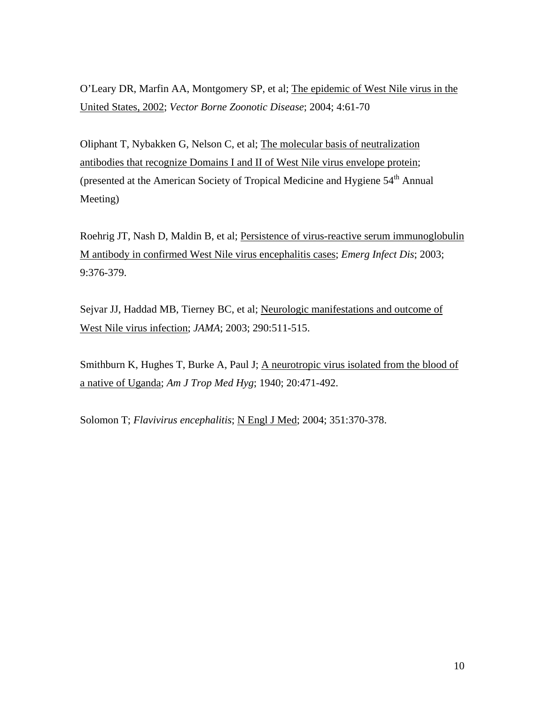O'Leary DR, Marfin AA, Montgomery SP, et al; The epidemic of West Nile virus in the United States, 2002; *Vector Borne Zoonotic Disease*; 2004; 4:61-70

Oliphant T, Nybakken G, Nelson C, et al; The molecular basis of neutralization antibodies that recognize Domains I and II of West Nile virus envelope protein; (presented at the American Society of Tropical Medicine and Hygiene 54<sup>th</sup> Annual Meeting)

Roehrig JT, Nash D, Maldin B, et al; Persistence of virus-reactive serum immunoglobulin M antibody in confirmed West Nile virus encephalitis cases; *Emerg Infect Dis*; 2003; 9:376-379.

Sejvar JJ, Haddad MB, Tierney BC, et al; Neurologic manifestations and outcome of West Nile virus infection; *JAMA*; 2003; 290:511-515.

Smithburn K, Hughes T, Burke A, Paul J; A neurotropic virus isolated from the blood of a native of Uganda; *Am J Trop Med Hyg*; 1940; 20:471-492.

Solomon T; *Flavivirus encephalitis*; *N Engl J Med*; 2004; 351:370-378.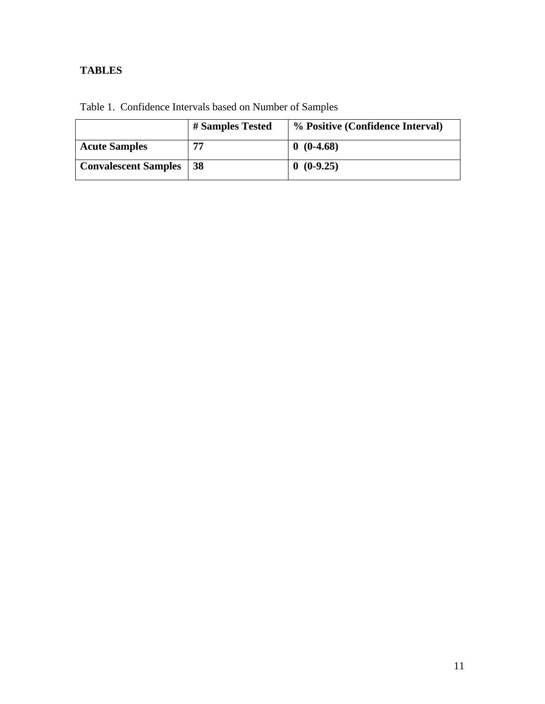## **TABLES**

|                             | # Samples Tested | % Positive (Confidence Interval) |
|-----------------------------|------------------|----------------------------------|
| <b>Acute Samples</b>        | 77               | $0(0-4.68)$                      |
| <b>Convalescent Samples</b> | 38               | $0(0-9.25)$                      |

Table 1. Confidence Intervals based on Number of Samples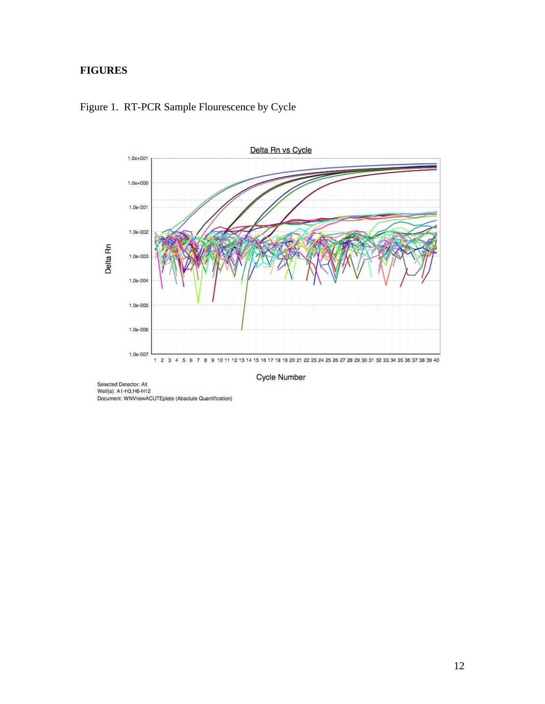## **FIGURES**





Selected Detector: All<br>Well(s): A1-H3,H6-H12 Document: WNVnewACUTEplate (Absolute Quantification)